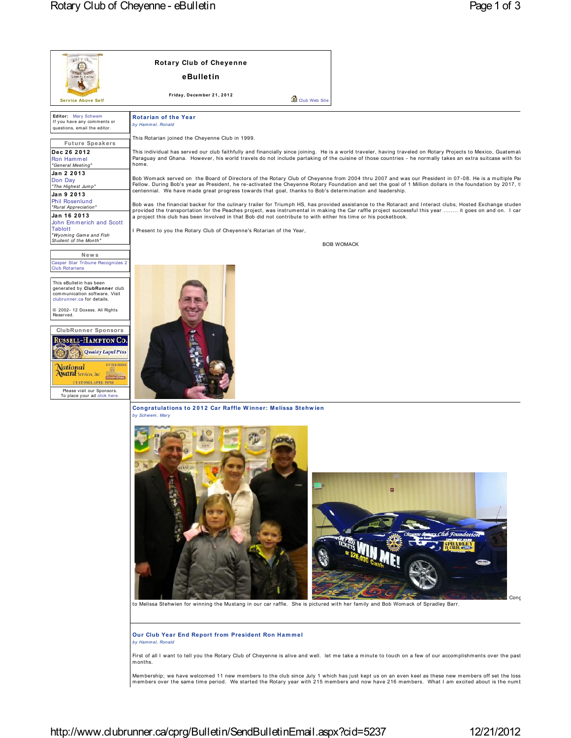| Add Y Ch                                                                                                                                                                                                                                                            | <b>Rotary Club of Cheyenne</b>                                                                                                                                                                                                                                                                                                                                                                                                       |           |  |
|---------------------------------------------------------------------------------------------------------------------------------------------------------------------------------------------------------------------------------------------------------------------|--------------------------------------------------------------------------------------------------------------------------------------------------------------------------------------------------------------------------------------------------------------------------------------------------------------------------------------------------------------------------------------------------------------------------------------|-----------|--|
|                                                                                                                                                                                                                                                                     | eBulletin                                                                                                                                                                                                                                                                                                                                                                                                                            |           |  |
| <b>Service Above Self</b>                                                                                                                                                                                                                                           | Friday, December 21, 2012<br>Club Web Site                                                                                                                                                                                                                                                                                                                                                                                           |           |  |
| Editor: Mary Schwem<br>If you have any comments or<br>questions, email the editor.                                                                                                                                                                                  | <b>Rotarian of the Year</b><br>by Hammel, Ronald                                                                                                                                                                                                                                                                                                                                                                                     |           |  |
| <b>Future Speakers</b>                                                                                                                                                                                                                                              | This Rotarian joined the Cheyenne Club in 1999.                                                                                                                                                                                                                                                                                                                                                                                      |           |  |
| Dec 26 2012<br>Ron Hammel<br>"General Meeting"                                                                                                                                                                                                                      | This individual has served our club faithfully and financially since joining. He is a world traveler, having traveled on Rotary Projects to Mexico, Guatemala<br>Paraguay and Ghana. However, his world travels do not include partaking of the cuisine of those countries - he normally takes an extra suitcase with for<br>home.                                                                                                   |           |  |
| Jan 2 2013<br>Don Day<br>"The Highest Jump"<br>Jan 9 2013                                                                                                                                                                                                           | Bob Womack served on the Board of Directors of the Rotary Club of Cheyenne from 2004 thru 2007 and was our President in 07-08. He is a multiple Pa<br>Fellow. During Bob's year as President, he re-activated the Cheyenne Rotary Foundation and set the goal of 1 Million dollars in the foundation by 2017, t<br>centennial. We have made great progress towards that goal, thanks to Bob's determination and leadership.          |           |  |
| Phil Rosenlund<br>"Rural Appreciation"<br>Jan 16 2013<br>John Emmerich and Scott                                                                                                                                                                                    | Bob was the financial backer for the culinary trailer for Triumph HS, has provided assistance to the Rotaract and Interact clubs, Hosted Exchange studen<br>provided the transportation for the Peaches project, was instrumental in making the Car raffle project successful this year  it goes on and on. I car<br>a project this club has been involved in that Bob did not contribute to with either his time or his pocketbook. |           |  |
| <b>Tablott</b><br>"Wyoming Game and Fish                                                                                                                                                                                                                            | I Present to you the Rotary Club of Cheyenne's Rotarian of the Year,                                                                                                                                                                                                                                                                                                                                                                 |           |  |
| Student of the Month"                                                                                                                                                                                                                                               | <b>BOB WOMACK</b>                                                                                                                                                                                                                                                                                                                                                                                                                    |           |  |
| News<br>Casper Star Tribune Recognizes 2<br><b>Club Rotarians</b><br>This eBulletin has been<br>generated by ClubRunner club<br>communication software. Visit<br>clubrunner.ca for details.<br>© 2002- 12 Doxess. All Rights                                        |                                                                                                                                                                                                                                                                                                                                                                                                                                      |           |  |
| Reserved.<br><b>ClubRunner Sponsors</b><br>Russell-Hampton Co.<br>Quality Lapel Pins<br><b>ENTER HERE</b><br>National<br><b>Award</b> Services, Inc.<br><b>BIZMINGHAM</b><br><b>CUSTOM LAPEL PINS</b><br>Please visit our Sponsors.<br>To place your ad click here. |                                                                                                                                                                                                                                                                                                                                                                                                                                      |           |  |
|                                                                                                                                                                                                                                                                     | Congratulations to 2012 Car Raffle Winner: Melissa Stehwien<br>by Schwem, Mary                                                                                                                                                                                                                                                                                                                                                       |           |  |
|                                                                                                                                                                                                                                                                     | to Melissa Stehwien for winning the Mustang in our car raffle. She is pictured with her family and Bob Womack of Spradley Barr.                                                                                                                                                                                                                                                                                                      | г<br>Conc |  |
|                                                                                                                                                                                                                                                                     | Our Club Year End Report from President Ron Hammel<br>by Hammel, Ronald<br>First of all I want to tell you the Rotary Club of Cheyenne is alive and well. let me take a minute to touch on a few of our accomplishments over the past                                                                                                                                                                                                |           |  |
|                                                                                                                                                                                                                                                                     | months.<br>Membership; we have welcomed 11 new members to the club since July 1 which has just kept us on an even keel as these new members off set the loss                                                                                                                                                                                                                                                                         |           |  |
|                                                                                                                                                                                                                                                                     | members over the same time period. We started the Rotary year with 215 members and now have 216 members. What I am excited about is the numt                                                                                                                                                                                                                                                                                         |           |  |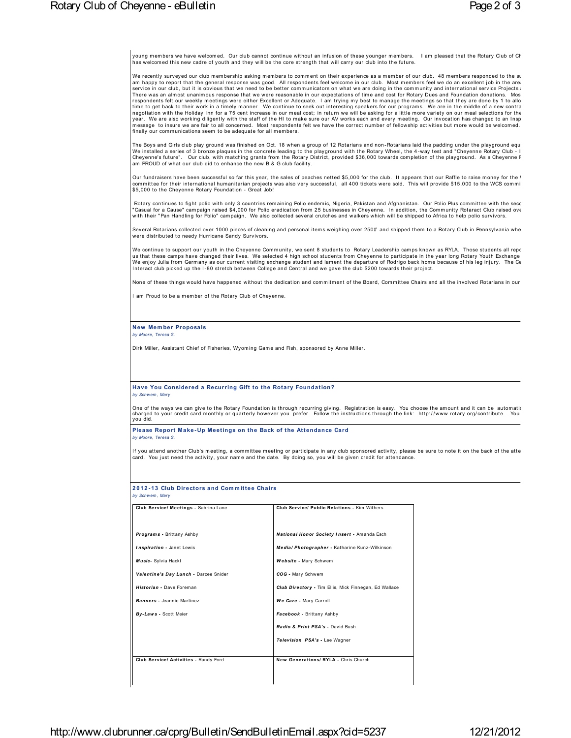young members we have welcomed. Our club cannot continue without an infusion of these younger members. I am pleased that the Rotary Club of Cr<br>has welcomed this new cadre of youth and they will be the core strength that

young members we have welcomed. Our club cannot continue without an infusion of these younger members. I am pleased that the Rotary Club of Chasemetrom what welcomed this new cadre of youth and they will be the core streng young members we have welcomed. Our club cannot continue without an infusion of these younger members. I am pleased that the Rotary Club of Cr<br>has welcomed this new cadre of youth and they will be the core strength that wi We recently surveyed our club membership asking members to comment on their experience as a member of our club. 48 members responded to the stam happy to report that the general response was good. All respondents feel welc

year. We are also working diligently with the staff of the HI to make sure our AV works each and every meeting. Our invocation has changed to an Insp<br>message to insure we are fair to all concerned. Most respondents felt we We installed a series of 3 bronze plaques in the concrete leading to the playground with the Rotary Wheel, the 4-way test and "Cheyenne Rotary Club - I<br>Cheyenne's future". Our club, with matching grants from the Rotary Dis

Cheyenne's future". Our club, with matching grants from the Rotary District, provided \$36,000 towards completion of the playground. As a Cheyenne F<br>am PROUD of what our club did to enhance the new B & G club facility.<br>Our Our fundraisers have been successful so far this year, the sales of peaches netted \$5,000 for the club. It appears that our Raffle to raise money for the '<br>committee for their international humanitarian projects was also v

committee for their international humanitarian projects was also very successful, all 400 tickets were sold. This will provide \$15,000 to the WCS commi<br>\$5,000 to the Cheyenne Rotary Foundation - Great Job!<br>Rotary continues Rotary continues to fight polio with only 3 countries remaining Polio endemic, Nigeria, Pakistan and Afghanistan. Our Polio Plus committee with the secc<br>"Casual for a Cause" campaign raised \$4,000 for Polio eradication fro

Several Rotarians collected over 1000 pieces of cleaning and personal items weighing over 250# and shipped them to a Rotary Club in Pennsylvania whe<br>were distributed to needy Hurricane Sandy Survivors.<br>We continue to suppo We enjoy Julia from Germany as our current visiting exchange student and lament the departure of Rodrigo back home because of his leg injury. The Ce<br>Interact club picked up the I-80 stretch between College and Central and

None of these things would have happened without the dedication and commitment of the Board, Committee Chairs and all the involved Rotarians in our

**New Mem ber Proposals**

*Dirk Miller, Assistant Chief of Fisheries, Wyoming Game and Fish, sponsored by Anne Miller.* 

**Have You Considered a Recurring Gift to the Rotary Foundation?**

Have You Considered a Recurring Gift to the Rotary Foundation?<br>by Schwem, Mary<br>One of the ways we can give to the Rotary Foundation is through recurring giving. Registration is easy. You choose the amount and it can be aut you did.

**Please Report Make - Up Meetings on the Back of the Attendance Card**

*by Moore, Teresa S.*

y Hease Report Make-Up Meetings on the Back of the Attendance Card<br>by Moore, Teresa S.<br>If you attend another Club's meeting, a committee meeting or participate in any club sponsored activity, please be sure to note it on t

card. You just need the activity, your name and the date. By doing the state of the activity, your name and the date.<br>**2012-13 Club Directors and Committee Chairs**<br>by Schwem, Mary **2012-13 Club Directors and Committee Chairs** 

| Club Service/ Meetings - Sabrina Lane | Club Service/ Public Relations - Kim Withers          |
|---------------------------------------|-------------------------------------------------------|
| Programs - Brittany Ashby             | National Honor Society Insert - Amanda Esch           |
| Inspiration - Janet Lewis             | Media/ Photographer - Katharine Kunz-Wilkinson        |
| Music- Sylvia Hackl                   | Website - Mary Schwem                                 |
| Valentine's Day Lunch - Darcee Snider | COG - Mary Schwem                                     |
| Historian - Dave Foreman              | Club Directory - Tim Ellis, Mick Finnegan, Ed Wallace |
| Banners - Jeannie Martinez            | We Care - Mary Carroll                                |
| By-Laws - Scott Meier                 | Facebook - Brittany Ashby                             |
|                                       | Radio & Print PSA's - David Bush                      |
|                                       | Television PSA's - Lee Wagner                         |
| Club Service/ Activities - Randy Ford | New Generations/ RYLA - Chris Church                  |